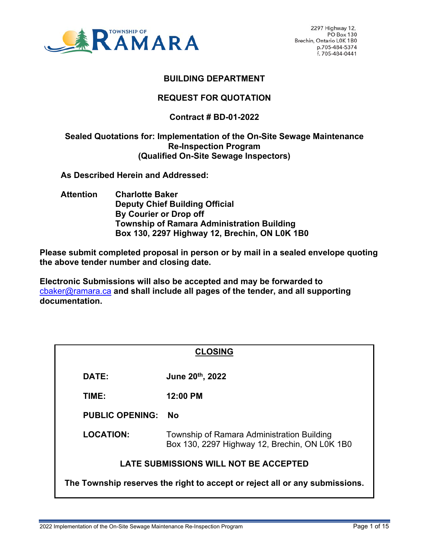

## **BUILDING DEPARTMENT**

### **REQUEST FOR QUOTATION**

# **Contract # BD-01-2022**

#### **Sealed Quotations for: Implementation of the On-Site Sewage Maintenance Re-Inspection Program (Qualified On-Site Sewage Inspectors)**

 **As Described Herein and Addressed:** 

 **Attention Charlotte Baker Deputy Chief Building Official By Courier or Drop off Township of Ramara Administration Building Box 130, 2297 Highway 12, Brechin, ON L0K 1B0** 

**Please submit completed proposal in person or by mail in a sealed envelope quoting the above tender number and closing date.** 

**Electronic Submissions will also be accepted and may be forwarded to** cbaker@ramara.ca **and shall include all pages of the tender, and all supporting documentation.** 

| <b>CLOSING</b>                                                              |                                                                                             |
|-----------------------------------------------------------------------------|---------------------------------------------------------------------------------------------|
| DATE:                                                                       | June 20th, 2022                                                                             |
| TIME:                                                                       | 12:00 PM                                                                                    |
| <b>PUBLIC OPENING:</b>                                                      | Nο                                                                                          |
| <b>LOCATION:</b>                                                            | Township of Ramara Administration Building<br>Box 130, 2297 Highway 12, Brechin, ON L0K 1B0 |
| <b>LATE SUBMISSIONS WILL NOT BE ACCEPTED</b>                                |                                                                                             |
| The Township reserves the right to accept or reject all or any submissions. |                                                                                             |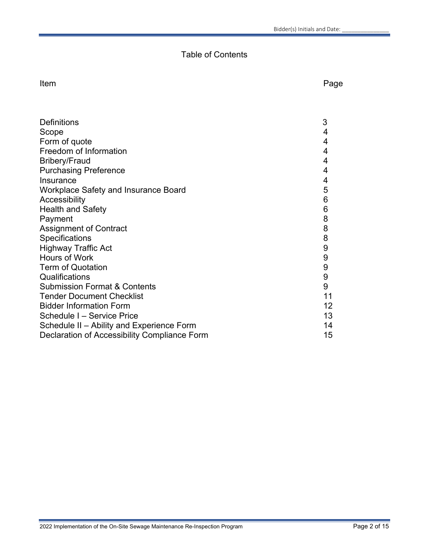# Table of Contents

Item and the contract of the contract of the contract of the contract of the contract of the contract of the contract of the contract of the contract of the contract of the contract of the contract of the contract of the c

| <b>Definitions</b>                           | 3               |
|----------------------------------------------|-----------------|
| Scope                                        | 4               |
| Form of quote                                | 4               |
| Freedom of Information                       | 4               |
| <b>Bribery/Fraud</b>                         | 4               |
| <b>Purchasing Preference</b>                 | 4               |
| Insurance                                    | 4               |
| <b>Workplace Safety and Insurance Board</b>  | 5               |
| Accessibility                                | 6               |
| <b>Health and Safety</b>                     | 6               |
| Payment                                      | 8               |
| Assignment of Contract                       | 8               |
| Specifications                               | 8               |
| <b>Highway Traffic Act</b>                   | 9               |
| Hours of Work                                | 9               |
| <b>Term of Quotation</b>                     | 9               |
| Qualifications                               | 9               |
| <b>Submission Format &amp; Contents</b>      | 9               |
| <b>Tender Document Checklist</b>             | 11              |
| <b>Bidder Information Form</b>               | 12 <sup>2</sup> |
| Schedule I - Service Price                   | 13              |
| Schedule II - Ability and Experience Form    | 14              |
| Declaration of Accessibility Compliance Form | 15              |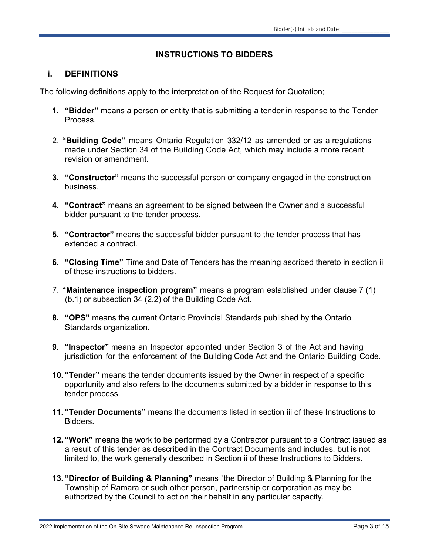# **INSTRUCTIONS TO BIDDERS**

## **i. DEFINITIONS**

The following definitions apply to the interpretation of the Request for Quotation;

- **1. "Bidder"** means a person or entity that is submitting a tender in response to the Tender Process.
- 2. **"Building Code"** means Ontario Regulation 332/12 as amended or as a regulations made under Section 34 of the Building Code Act, which may include a more recent revision or amendment.
- **3. "Constructor"** means the successful person or company engaged in the construction business.
- **4. "Contract"** means an agreement to be signed between the Owner and a successful bidder pursuant to the tender process.
- **5. "Contractor"** means the successful bidder pursuant to the tender process that has extended a contract.
- **6. "Closing Time"** Time and Date of Tenders has the meaning ascribed thereto in section ii of these instructions to bidders.
- 7. **"Maintenance inspection program"** means a program established under clause 7 (1) (b.1) or subsection 34 (2.2) of the Building Code Act.
- **8. "OPS"** means the current Ontario Provincial Standards published by the Ontario Standards organization.
- **9. "Inspector"** means an Inspector appointed under Section 3 of the Act and having jurisdiction for the enforcement of the Building Code Act and the Ontario Building Code.
- **10. "Tender"** means the tender documents issued by the Owner in respect of a specific opportunity and also refers to the documents submitted by a bidder in response to this tender process.
- **11. "Tender Documents"** means the documents listed in section iii of these Instructions to Bidders.
- **12. "Work"** means the work to be performed by a Contractor pursuant to a Contract issued as a result of this tender as described in the Contract Documents and includes, but is not limited to, the work generally described in Section ii of these Instructions to Bidders.
- **13. "Director of Building & Planning"** means `the Director of Building & Planning for the Township of Ramara or such other person, partnership or corporation as may be authorized by the Council to act on their behalf in any particular capacity.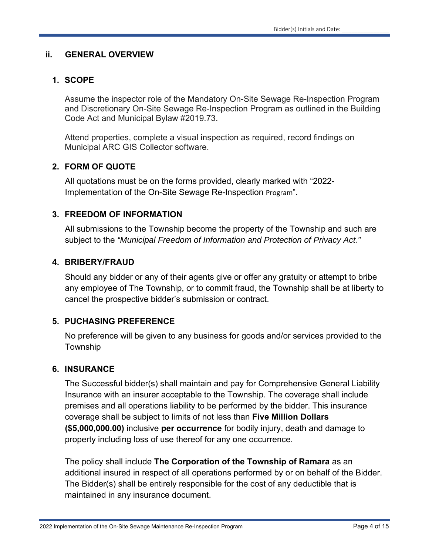#### **ii. GENERAL OVERVIEW**

### **1. SCOPE**

Assume the inspector role of the Mandatory On-Site Sewage Re-Inspection Program and Discretionary On-Site Sewage Re-Inspection Program as outlined in the Building Code Act and Municipal Bylaw #2019.73.

Attend properties, complete a visual inspection as required, record findings on Municipal ARC GIS Collector software.

## **2. FORM OF QUOTE**

All quotations must be on the forms provided, clearly marked with "2022- Implementation of the On-Site Sewage Re-Inspection Program".

#### **3. FREEDOM OF INFORMATION**

All submissions to the Township become the property of the Township and such are subject to the *"Municipal Freedom of Information and Protection of Privacy Act."* 

#### **4. BRIBERY/FRAUD**

Should any bidder or any of their agents give or offer any gratuity or attempt to bribe any employee of The Township, or to commit fraud, the Township shall be at liberty to cancel the prospective bidder's submission or contract.

#### **5. PUCHASING PREFERENCE**

No preference will be given to any business for goods and/or services provided to the Township

#### **6. INSURANCE**

The Successful bidder(s) shall maintain and pay for Comprehensive General Liability Insurance with an insurer acceptable to the Township. The coverage shall include premises and all operations liability to be performed by the bidder. This insurance coverage shall be subject to limits of not less than **Five Million Dollars (\$5,000,000.00)** inclusive **per occurrence** for bodily injury, death and damage to property including loss of use thereof for any one occurrence.

The policy shall include **The Corporation of the Township of Ramara** as an additional insured in respect of all operations performed by or on behalf of the Bidder. The Bidder(s) shall be entirely responsible for the cost of any deductible that is maintained in any insurance document.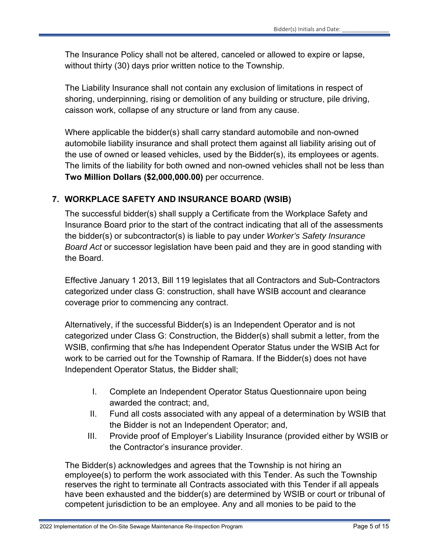The Insurance Policy shall not be altered, canceled or allowed to expire or lapse, without thirty (30) days prior written notice to the Township.

The Liability Insurance shall not contain any exclusion of limitations in respect of shoring, underpinning, rising or demolition of any building or structure, pile driving, caisson work, collapse of any structure or land from any cause.

Where applicable the bidder(s) shall carry standard automobile and non-owned automobile liability insurance and shall protect them against all liability arising out of the use of owned or leased vehicles, used by the Bidder(s), its employees or agents. The limits of the liability for both owned and non-owned vehicles shall not be less than **Two Million Dollars (\$2,000,000.00)** per occurrence.

# **7. WORKPLACE SAFETY AND INSURANCE BOARD (WSIB)**

The successful bidder(s) shall supply a Certificate from the Workplace Safety and Insurance Board prior to the start of the contract indicating that all of the assessments the bidder(s) or subcontractor(s) is liable to pay under *Worker's Safety Insurance Board Act* or successor legislation have been paid and they are in good standing with the Board.

Effective January 1 2013, Bill 119 legislates that all Contractors and Sub-Contractors categorized under class G: construction, shall have WSIB account and clearance coverage prior to commencing any contract.

Alternatively, if the successful Bidder(s) is an Independent Operator and is not categorized under Class G: Construction, the Bidder(s) shall submit a letter, from the WSIB, confirming that s/he has Independent Operator Status under the WSIB Act for work to be carried out for the Township of Ramara. If the Bidder(s) does not have Independent Operator Status, the Bidder shall;

- I. Complete an Independent Operator Status Questionnaire upon being awarded the contract; and,
- II. Fund all costs associated with any appeal of a determination by WSIB that the Bidder is not an Independent Operator; and,
- III. Provide proof of Employer's Liability Insurance (provided either by WSIB or the Contractor's insurance provider.

The Bidder(s) acknowledges and agrees that the Township is not hiring an employee(s) to perform the work associated with this Tender. As such the Township reserves the right to terminate all Contracts associated with this Tender if all appeals have been exhausted and the bidder(s) are determined by WSIB or court or tribunal of competent jurisdiction to be an employee. Any and all monies to be paid to the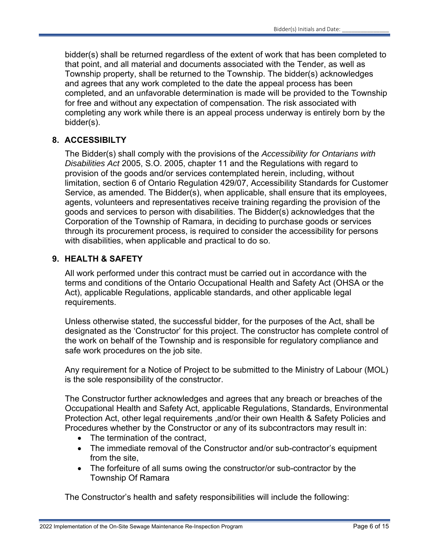bidder(s) shall be returned regardless of the extent of work that has been completed to that point, and all material and documents associated with the Tender, as well as Township property, shall be returned to the Township. The bidder(s) acknowledges and agrees that any work completed to the date the appeal process has been completed, and an unfavorable determination is made will be provided to the Township for free and without any expectation of compensation. The risk associated with completing any work while there is an appeal process underway is entirely born by the bidder(s).

# **8. ACCESSIBILTY**

The Bidder(s) shall comply with the provisions of the *Accessibility for Ontarians with Disabilities Act* 2005, S.O. 2005, chapter 11 and the Regulations with regard to provision of the goods and/or services contemplated herein, including, without limitation, section 6 of Ontario Regulation 429/07, Accessibility Standards for Customer Service, as amended. The Bidder(s), when applicable, shall ensure that its employees, agents, volunteers and representatives receive training regarding the provision of the goods and services to person with disabilities. The Bidder(s) acknowledges that the Corporation of the Township of Ramara, in deciding to purchase goods or services through its procurement process, is required to consider the accessibility for persons with disabilities, when applicable and practical to do so.

# **9. HEALTH & SAFETY**

All work performed under this contract must be carried out in accordance with the terms and conditions of the Ontario Occupational Health and Safety Act (OHSA or the Act), applicable Regulations, applicable standards, and other applicable legal requirements.

Unless otherwise stated, the successful bidder, for the purposes of the Act, shall be designated as the 'Constructor' for this project. The constructor has complete control of the work on behalf of the Township and is responsible for regulatory compliance and safe work procedures on the job site.

Any requirement for a Notice of Project to be submitted to the Ministry of Labour (MOL) is the sole responsibility of the constructor.

The Constructor further acknowledges and agrees that any breach or breaches of the Occupational Health and Safety Act, applicable Regulations, Standards, Environmental Protection Act, other legal requirements ,and/or their own Health & Safety Policies and Procedures whether by the Constructor or any of its subcontractors may result in:

- The termination of the contract.
- The immediate removal of the Constructor and/or sub-contractor's equipment from the site,
- The forfeiture of all sums owing the constructor/or sub-contractor by the Township Of Ramara

The Constructor's health and safety responsibilities will include the following: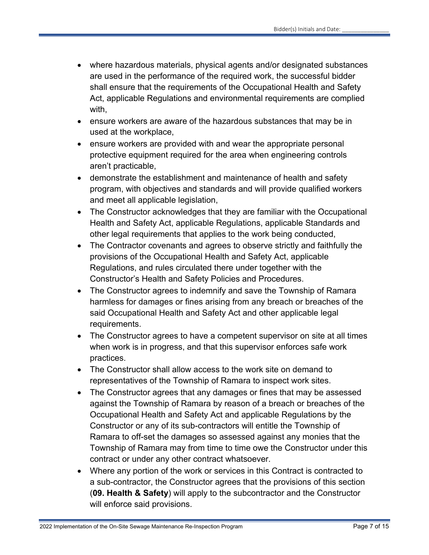- where hazardous materials, physical agents and/or designated substances are used in the performance of the required work, the successful bidder shall ensure that the requirements of the Occupational Health and Safety Act, applicable Regulations and environmental requirements are complied with,
- ensure workers are aware of the hazardous substances that may be in used at the workplace,
- ensure workers are provided with and wear the appropriate personal protective equipment required for the area when engineering controls aren't practicable,
- demonstrate the establishment and maintenance of health and safety program, with objectives and standards and will provide qualified workers and meet all applicable legislation,
- The Constructor acknowledges that they are familiar with the Occupational Health and Safety Act, applicable Regulations, applicable Standards and other legal requirements that applies to the work being conducted,
- The Contractor covenants and agrees to observe strictly and faithfully the provisions of the Occupational Health and Safety Act, applicable Regulations, and rules circulated there under together with the Constructor's Health and Safety Policies and Procedures.
- The Constructor agrees to indemnify and save the Township of Ramara harmless for damages or fines arising from any breach or breaches of the said Occupational Health and Safety Act and other applicable legal requirements.
- The Constructor agrees to have a competent supervisor on site at all times when work is in progress, and that this supervisor enforces safe work practices.
- The Constructor shall allow access to the work site on demand to representatives of the Township of Ramara to inspect work sites.
- The Constructor agrees that any damages or fines that may be assessed against the Township of Ramara by reason of a breach or breaches of the Occupational Health and Safety Act and applicable Regulations by the Constructor or any of its sub-contractors will entitle the Township of Ramara to off-set the damages so assessed against any monies that the Township of Ramara may from time to time owe the Constructor under this contract or under any other contract whatsoever.
- Where any portion of the work or services in this Contract is contracted to a sub-contractor, the Constructor agrees that the provisions of this section (**09. Health & Safety**) will apply to the subcontractor and the Constructor will enforce said provisions.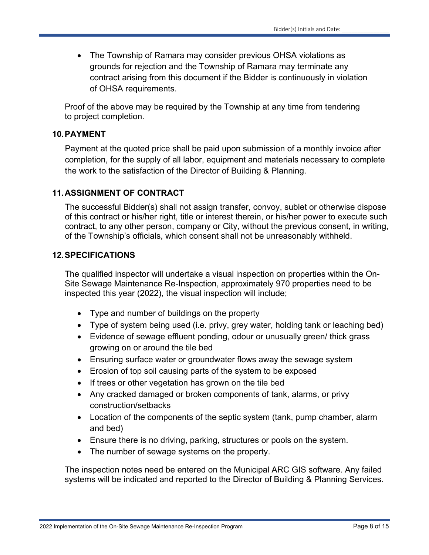• The Township of Ramara may consider previous OHSA violations as grounds for rejection and the Township of Ramara may terminate any contract arising from this document if the Bidder is continuously in violation of OHSA requirements.

Proof of the above may be required by the Township at any time from tendering to project completion.

## **10. PAYMENT**

Payment at the quoted price shall be paid upon submission of a monthly invoice after completion, for the supply of all labor, equipment and materials necessary to complete the work to the satisfaction of the Director of Building & Planning.

## **11. ASSIGNMENT OF CONTRACT**

The successful Bidder(s) shall not assign transfer, convoy, sublet or otherwise dispose of this contract or his/her right, title or interest therein, or his/her power to execute such contract, to any other person, company or City, without the previous consent, in writing, of the Township's officials, which consent shall not be unreasonably withheld.

## **12. SPECIFICATIONS**

The qualified inspector will undertake a visual inspection on properties within the On-Site Sewage Maintenance Re-Inspection, approximately 970 properties need to be inspected this year (2022), the visual inspection will include;

- Type and number of buildings on the property
- Type of system being used (i.e. privy, grey water, holding tank or leaching bed)
- Evidence of sewage effluent ponding, odour or unusually green/ thick grass growing on or around the tile bed
- Ensuring surface water or groundwater flows away the sewage system
- Erosion of top soil causing parts of the system to be exposed
- If trees or other vegetation has grown on the tile bed
- Any cracked damaged or broken components of tank, alarms, or privy construction/setbacks
- Location of the components of the septic system (tank, pump chamber, alarm and bed)
- Ensure there is no driving, parking, structures or pools on the system.
- The number of sewage systems on the property.

The inspection notes need be entered on the Municipal ARC GIS software. Any failed systems will be indicated and reported to the Director of Building & Planning Services.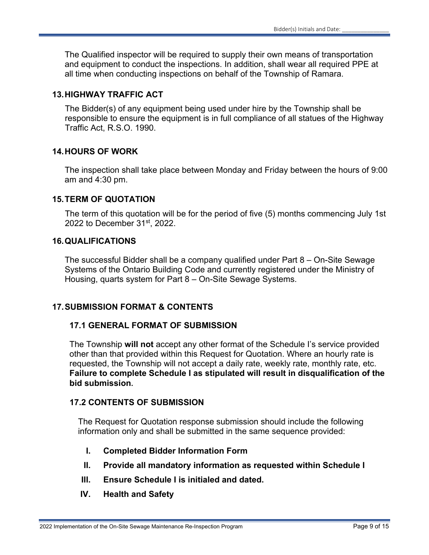The Qualified inspector will be required to supply their own means of transportation and equipment to conduct the inspections. In addition, shall wear all required PPE at all time when conducting inspections on behalf of the Township of Ramara.

## **13. HIGHWAY TRAFFIC ACT**

The Bidder(s) of any equipment being used under hire by the Township shall be responsible to ensure the equipment is in full compliance of all statues of the Highway Traffic Act, R.S.O. 1990.

# **14. HOURS OF WORK**

The inspection shall take place between Monday and Friday between the hours of 9:00 am and 4:30 pm.

#### **15. TERM OF QUOTATION**

The term of this quotation will be for the period of five (5) months commencing July 1st 2022 to December 31st, 2022.

#### **16. QUALIFICATIONS**

The successful Bidder shall be a company qualified under Part 8 – On-Site Sewage Systems of the Ontario Building Code and currently registered under the Ministry of Housing, quarts system for Part 8 – On-Site Sewage Systems.

# **17. SUBMISSION FORMAT & CONTENTS**

#### **17.1 GENERAL FORMAT OF SUBMISSION**

The Township **will not** accept any other format of the Schedule I's service provided other than that provided within this Request for Quotation. Where an hourly rate is requested, the Township will not accept a daily rate, weekly rate, monthly rate, etc. **Failure to complete Schedule I as stipulated will result in disqualification of the bid submission.**

#### **17.2 CONTENTS OF SUBMISSION**

The Request for Quotation response submission should include the following information only and shall be submitted in the same sequence provided:

- **I. Completed Bidder Information Form**
- **II. Provide all mandatory information as requested within Schedule I**
- **III. Ensure Schedule I is initialed and dated.**
- **IV. Health and Safety**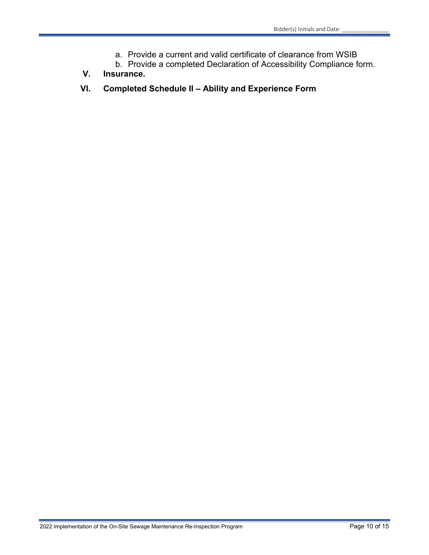- a. Provide a current and valid certificate of clearance from WSIB
- b. Provide a completed Declaration of Accessibility Compliance form.
- **V. Insurance.**
- **VI. Completed Schedule II Ability and Experience Form**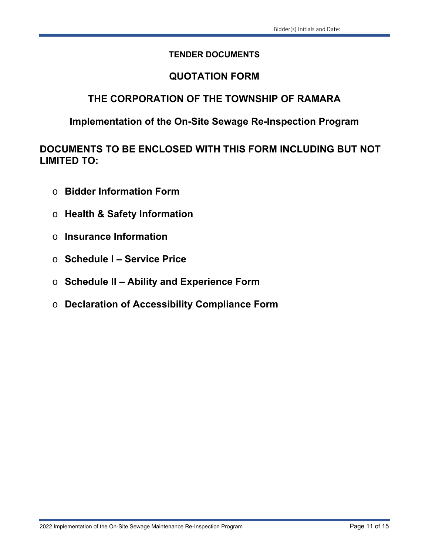# **TENDER DOCUMENTS**

# **QUOTATION FORM**

# **THE CORPORATION OF THE TOWNSHIP OF RAMARA**

# **Implementation of the On-Site Sewage Re-Inspection Program**

**DOCUMENTS TO BE ENCLOSED WITH THIS FORM INCLUDING BUT NOT LIMITED TO:** 

- o **Bidder Information Form**
- o **Health & Safety Information**
- o **Insurance Information**
- o **Schedule I Service Price**
- o **Schedule II Ability and Experience Form**
- o **Declaration of Accessibility Compliance Form**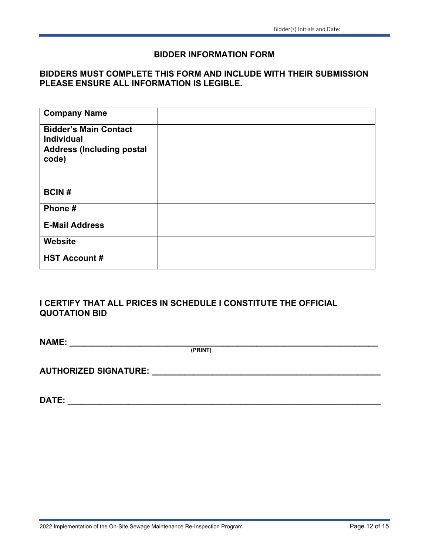#### **BIDDER INFORMATION FORM**

# **BIDDERS MUST COMPLETE THIS FORM AND INCLUDE WITH THEIR SUBMISSION PLEASE ENSURE ALL INFORMATION IS LEGIBLE.**

| <b>Company Name</b>                               |  |
|---------------------------------------------------|--|
| <b>Bidder's Main Contact</b><br><b>Individual</b> |  |
| <b>Address (Including postal</b><br>code)         |  |
| <b>BCIN#</b>                                      |  |
| Phone#                                            |  |
| <b>E-Mail Address</b>                             |  |
| Website                                           |  |
| <b>HST Account #</b>                              |  |

# **I CERTIFY THAT ALL PRICES IN SCHEDULE I CONSTITUTE THE OFFICIAL QUOTATION BID**

**NAME: \_\_\_\_\_\_\_\_\_\_\_\_\_\_\_\_\_\_\_\_\_\_\_\_\_\_\_\_\_\_\_\_\_\_\_\_\_\_\_\_\_\_\_\_\_\_\_\_\_\_\_\_\_\_\_\_\_\_\_\_\_\_\_\_\_\_ (PRINT)** 

**AUTHORIZED SIGNATURE: \_\_\_\_\_\_\_\_\_\_\_\_\_\_\_\_\_\_\_\_\_\_\_\_\_\_\_\_\_\_\_\_\_\_\_\_\_\_\_\_\_\_\_\_\_\_\_\_\_** 

**DATE: \_\_\_\_\_\_\_\_\_\_\_\_\_\_\_\_\_\_\_\_\_\_\_\_\_\_\_\_\_\_\_\_\_\_\_\_\_\_\_\_\_\_\_\_\_\_\_\_\_\_\_\_\_\_\_\_\_\_\_\_\_\_\_\_\_\_\_**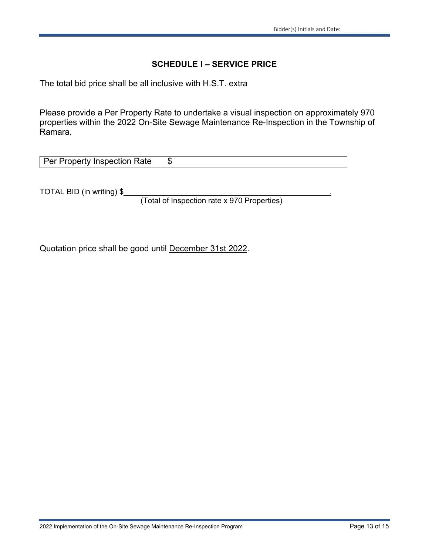#### **SCHEDULE I – SERVICE PRICE**

The total bid price shall be all inclusive with H.S.T. extra

Please provide a Per Property Rate to undertake a visual inspection on approximately 970 properties within the 2022 On-Site Sewage Maintenance Re-Inspection in the Township of Ramara.

| Per Property Inspection Rate |  |
|------------------------------|--|
|------------------------------|--|

TOTAL BID (in writing) \$

(Total of Inspection rate x 970 Properties)

Quotation price shall be good until December 31st 2022.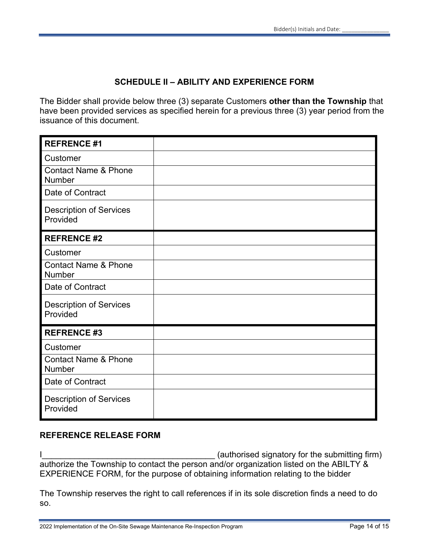# **SCHEDULE II – ABILITY AND EXPERIENCE FORM**

The Bidder shall provide below three (3) separate Customers **other than the Township** that have been provided services as specified herein for a previous three (3) year period from the issuance of this document.

| <b>REFRENCE #1</b>                         |  |
|--------------------------------------------|--|
| Customer                                   |  |
| <b>Contact Name &amp; Phone</b><br>Number  |  |
| Date of Contract                           |  |
| <b>Description of Services</b><br>Provided |  |
| <b>REFRENCE #2</b>                         |  |
| Customer                                   |  |
| <b>Contact Name &amp; Phone</b><br>Number  |  |
| Date of Contract                           |  |
| <b>Description of Services</b><br>Provided |  |
| <b>REFRENCE #3</b>                         |  |
| Customer                                   |  |
| <b>Contact Name &amp; Phone</b><br>Number  |  |
| Date of Contract                           |  |
| <b>Description of Services</b><br>Provided |  |

#### **REFERENCE RELEASE FORM**

I authorize the Township to contact the person and/or organization listed on the ABILTY & EXPERIENCE FORM, for the purpose of obtaining information relating to the bidder

The Township reserves the right to call references if in its sole discretion finds a need to do so.